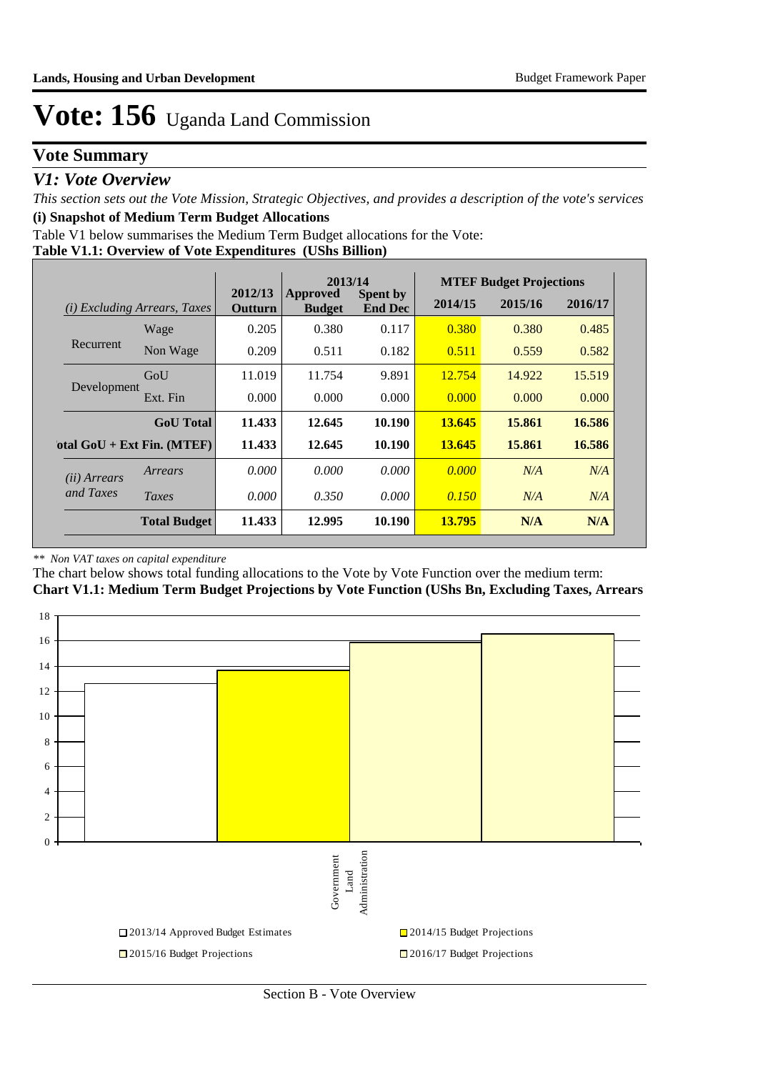## **Vote Summary**

### *V1: Vote Overview*

*This section sets out the Vote Mission, Strategic Objectives, and provides a description of the vote's services* **(i) Snapshot of Medium Term Budget Allocations** 

Table V1 below summarises the Medium Term Budget allocations for the Vote:

#### **Table V1.1: Overview of Vote Expenditures (UShs Billion)**

|                       |                                 |                    | 2013/14                   |                            |         | <b>MTEF Budget Projections</b> |         |
|-----------------------|---------------------------------|--------------------|---------------------------|----------------------------|---------|--------------------------------|---------|
| (i)                   | <b>Excluding Arrears, Taxes</b> | 2012/13<br>Outturn | Approved<br><b>Budget</b> | Spent by<br><b>End Dec</b> | 2014/15 | 2015/16                        | 2016/17 |
|                       | Wage                            | 0.205              | 0.380                     | 0.117                      | 0.380   | 0.380                          | 0.485   |
| Recurrent             | Non Wage                        | 0.209              | 0.511                     | 0.182                      | 0.511   | 0.559                          | 0.582   |
|                       | GoU                             | 11.019             | 11.754                    | 9.891                      | 12.754  | 14.922                         | 15.519  |
| Development           | Ext. Fin                        | 0.000              | 0.000                     | 0.000                      | 0.000   | 0.000                          | 0.000   |
|                       | <b>GoU</b> Total                | 11.433             | 12.645                    | 10.190                     | 13.645  | 15.861                         | 16.586  |
|                       | otal $GoU + Ext Fin. (MTEF)$    | 11.433             | 12.645                    | 10.190                     | 13.645  | 15.861                         | 16.586  |
| ( <i>ii</i> ) Arrears | Arrears                         | 0.000              | 0.000                     | 0.000                      | 0.000   | N/A                            | N/A     |
| and Taxes             | Taxes                           | 0.000              | 0.350                     | 0.000                      | 0.150   | N/A                            | N/A     |
|                       | <b>Total Budget</b>             | 11.433             | 12.995                    | 10.190                     | 13.795  | N/A                            | N/A     |

#### *\*\* Non VAT taxes on capital expenditure*

The chart below shows total funding allocations to the Vote by Vote Function over the medium term:

**Chart V1.1: Medium Term Budget Projections by Vote Function (UShs Bn, Excluding Taxes, Arrears**

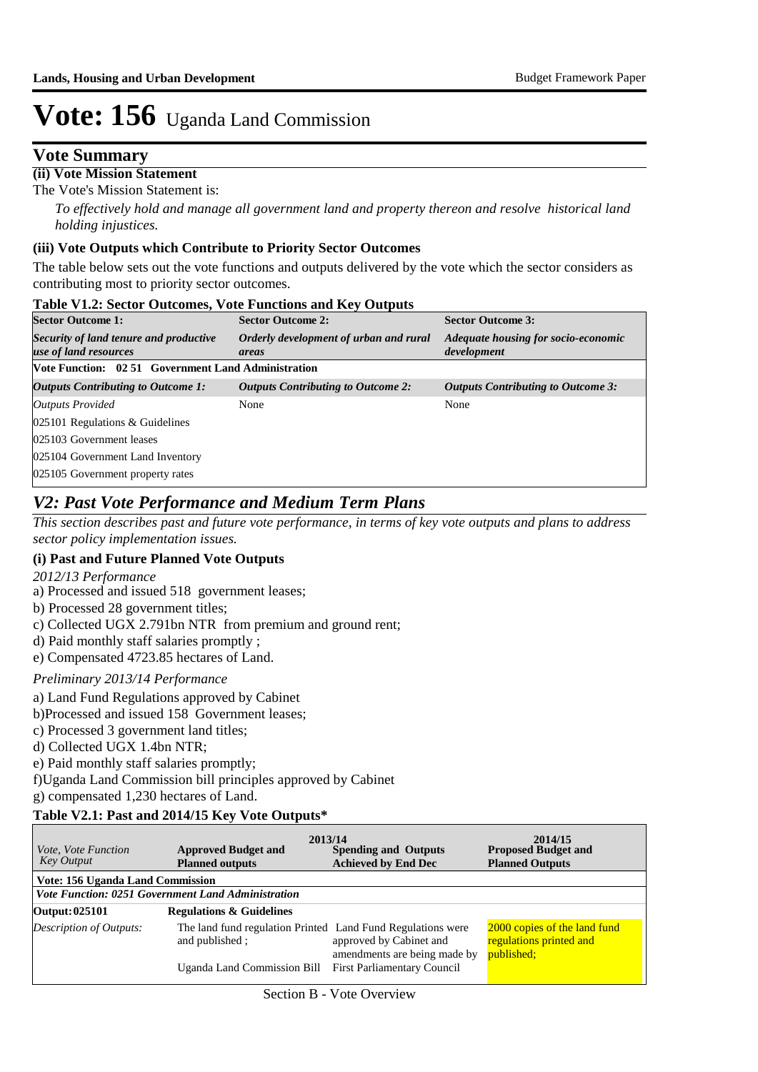### **Vote Summary**

**(ii) Vote Mission Statement**

The Vote's Mission Statement is:

*To effectively hold and manage all government land and property thereon and resolve historical land holding injustices.*

#### **(iii) Vote Outputs which Contribute to Priority Sector Outcomes**

The table below sets out the vote functions and outputs delivered by the vote which the sector considers as contributing most to priority sector outcomes.

| <b>Table V1.2: Sector Outcomes, Vote Functions and Key Outputs</b> |                                                 |                                                    |  |  |  |  |  |
|--------------------------------------------------------------------|-------------------------------------------------|----------------------------------------------------|--|--|--|--|--|
| <b>Sector Outcome 1:</b>                                           | <b>Sector Outcome 2:</b>                        | <b>Sector Outcome 3:</b>                           |  |  |  |  |  |
| Security of land tenure and productive<br>use of land resources    | Orderly development of urban and rural<br>areas | Adequate housing for socio-economic<br>development |  |  |  |  |  |
| Vote Function: 02.51 Government Land Administration                |                                                 |                                                    |  |  |  |  |  |
| <b>Outputs Contributing to Outcome 1:</b>                          | <b>Outputs Contributing to Outcome 2:</b>       | <b>Outputs Contributing to Outcome 3:</b>          |  |  |  |  |  |
| <b>Outputs Provided</b>                                            | None                                            | None                                               |  |  |  |  |  |
| 025101 Regulations $&$ Guidelines                                  |                                                 |                                                    |  |  |  |  |  |
| 025103 Government leases                                           |                                                 |                                                    |  |  |  |  |  |
| 025104 Government Land Inventory                                   |                                                 |                                                    |  |  |  |  |  |
| 025105 Government property rates                                   |                                                 |                                                    |  |  |  |  |  |

## *V2: Past Vote Performance and Medium Term Plans*

*This section describes past and future vote performance, in terms of key vote outputs and plans to address sector policy implementation issues.* 

#### **(i) Past and Future Planned Vote Outputs**

*2012/13 Performance*

- a) Processed and issued 518 government leases;
- b) Processed 28 government titles;
- c) Collected UGX 2.791bn NTR from premium and ground rent;
- d) Paid monthly staff salaries promptly ;
- e) Compensated 4723.85 hectares of Land.

#### *Preliminary 2013/14 Performance*

- a) Land Fund Regulations approved by Cabinet
- b)Processed and issued 158 Government leases;
- c) Processed 3 government land titles;
- d) Collected UGX 1.4bn NTR;
- e) Paid monthly staff salaries promptly;

f)Uganda Land Commission bill principles approved by Cabinet

g) compensated 1,230 hectares of Land.

#### **Table V2.1: Past and 2014/15 Key Vote Outputs\***

| <i>Vote, Vote Function</i><br><b>Key Output</b>           | 2013/14<br><b>Approved Budget and</b><br><b>Planned outputs</b>               | <b>Spending and Outputs</b><br><b>Achieved by End Dec</b> | 2014/15<br><b>Proposed Budget and</b><br><b>Planned Outputs</b>       |  |  |  |  |  |  |
|-----------------------------------------------------------|-------------------------------------------------------------------------------|-----------------------------------------------------------|-----------------------------------------------------------------------|--|--|--|--|--|--|
| Vote: 156 Uganda Land Commission                          |                                                                               |                                                           |                                                                       |  |  |  |  |  |  |
| <b>Vote Function: 0251 Government Land Administration</b> |                                                                               |                                                           |                                                                       |  |  |  |  |  |  |
| Output: 025101                                            | <b>Regulations &amp; Guidelines</b>                                           |                                                           |                                                                       |  |  |  |  |  |  |
| Description of Outputs:                                   | The land fund regulation Printed Land Fund Regulations were<br>and published; | approved by Cabinet and<br>amendments are being made by   | 2000 copies of the land fund<br>regulations printed and<br>published: |  |  |  |  |  |  |
|                                                           | Uganda Land Commission Bill                                                   | <b>First Parliamentary Council</b>                        |                                                                       |  |  |  |  |  |  |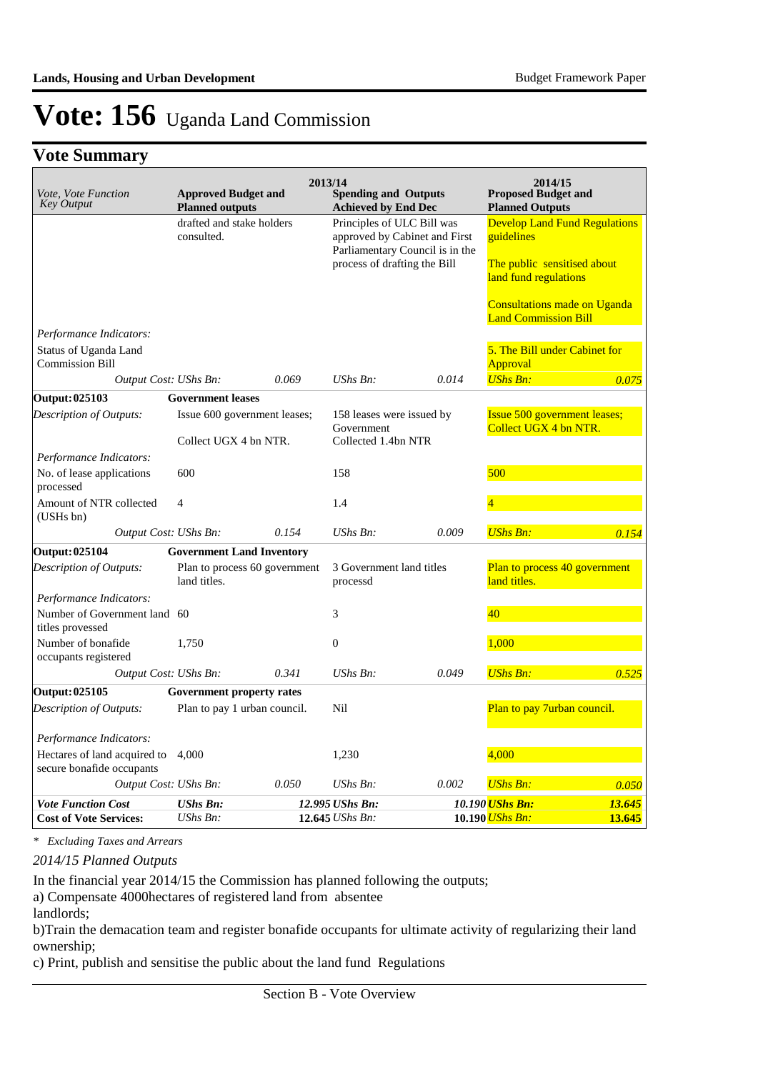## **Vote Summary**

| Vote, Vote Function<br><b>Key Output</b>                  | <b>Approved Budget and</b><br><b>Planned outputs</b>  |                               | 2013/14<br><b>Spending and Outputs</b><br><b>Achieved by End Dec</b> |                                                                  | 2014/15<br><b>Proposed Budget and</b><br><b>Planned Outputs</b>                                                                                                                  |        |
|-----------------------------------------------------------|-------------------------------------------------------|-------------------------------|----------------------------------------------------------------------|------------------------------------------------------------------|----------------------------------------------------------------------------------------------------------------------------------------------------------------------------------|--------|
|                                                           | drafted and stake holders<br>consulted.               |                               | Principles of ULC Bill was<br>process of drafting the Bill           | approved by Cabinet and First<br>Parliamentary Council is in the | <b>Develop Land Fund Regulations</b><br>guidelines<br>The public sensitised about<br>land fund regulations<br><b>Consultations made on Uganda</b><br><b>Land Commission Bill</b> |        |
| Performance Indicators:                                   |                                                       |                               |                                                                      |                                                                  |                                                                                                                                                                                  |        |
| Status of Uganda Land<br><b>Commission Bill</b>           |                                                       |                               |                                                                      |                                                                  | 5. The Bill under Cabinet for<br>Approval                                                                                                                                        |        |
| Output Cost: UShs Bn:                                     |                                                       | 0.069                         | UShs Bn:                                                             | 0.014                                                            | <b>UShs Bn:</b>                                                                                                                                                                  | 0.075  |
| Output: 025103                                            | <b>Government leases</b>                              |                               |                                                                      |                                                                  |                                                                                                                                                                                  |        |
| Description of Outputs:                                   | Issue 600 government leases;<br>Collect UGX 4 bn NTR. |                               | 158 leases were issued by<br>Government<br>Collected 1.4bn NTR       |                                                                  | <b>Issue 500 government leases;</b><br>Collect UGX 4 bn NTR.                                                                                                                     |        |
| Performance Indicators:                                   |                                                       |                               |                                                                      |                                                                  |                                                                                                                                                                                  |        |
| No. of lease applications<br>processed                    | 600                                                   |                               | 158                                                                  |                                                                  | 500                                                                                                                                                                              |        |
| Amount of NTR collected<br>(USHs bn)                      | $\overline{4}$                                        |                               | 1.4                                                                  |                                                                  | 4                                                                                                                                                                                |        |
| Output Cost: UShs Bn:                                     |                                                       | 0.154                         | UShs Bn:                                                             | 0.009                                                            | <b>UShs Bn:</b>                                                                                                                                                                  | 0.154  |
| <b>Output: 025104</b>                                     | <b>Government Land Inventory</b>                      |                               |                                                                      |                                                                  |                                                                                                                                                                                  |        |
| Description of Outputs:                                   | land titles.                                          | Plan to process 60 government | 3 Government land titles<br>processd                                 |                                                                  | Plan to process 40 government<br>land titles.                                                                                                                                    |        |
| Performance Indicators:                                   |                                                       |                               |                                                                      |                                                                  |                                                                                                                                                                                  |        |
| Number of Government land 60<br>titles provessed          |                                                       |                               | 3                                                                    |                                                                  | 40                                                                                                                                                                               |        |
| Number of bonafide<br>occupants registered                | 1,750                                                 |                               | $\boldsymbol{0}$                                                     |                                                                  | 1,000                                                                                                                                                                            |        |
| Output Cost: UShs Bn:                                     |                                                       | 0.341                         | UShs Bn:                                                             | 0.049                                                            | <b>UShs Bn:</b>                                                                                                                                                                  | 0.525  |
| Output: 025105                                            | <b>Government property rates</b>                      |                               |                                                                      |                                                                  |                                                                                                                                                                                  |        |
| Description of Outputs:                                   | Plan to pay 1 urban council.                          |                               | Nil                                                                  |                                                                  | Plan to pay 7urban council.                                                                                                                                                      |        |
| Performance Indicators:                                   |                                                       |                               |                                                                      |                                                                  |                                                                                                                                                                                  |        |
| Hectares of land acquired to<br>secure bonafide occupants | 4,000                                                 |                               | 1,230                                                                |                                                                  | 4,000                                                                                                                                                                            |        |
| Output Cost: UShs Bn:                                     |                                                       | 0.050                         | UShs Bn:                                                             | 0.002                                                            | <b>UShs Bn:</b>                                                                                                                                                                  | 0.050  |
| <b>Vote Function Cost</b>                                 | <b>UShs Bn:</b>                                       |                               | 12.995 UShs Bn:                                                      |                                                                  | 10.190 <mark>UShs Bn:</mark>                                                                                                                                                     | 13.645 |
| <b>Cost of Vote Services:</b>                             | $UShs Bn$ :                                           |                               | 12.645 UShs Bn:                                                      |                                                                  | 10.190 <i>UShs Bn:</i>                                                                                                                                                           | 13.645 |

*\* Excluding Taxes and Arrears*

*2014/15 Planned Outputs*

In the financial year 2014/15 the Commission has planned following the outputs;

a) Compensate 4000hectares of registered land from absentee

b)Train the demacation team and register bonafide occupants for ultimate activity of regularizing their land ownership;

c) Print, publish and sensitise the public about the land fund Regulations

landlords;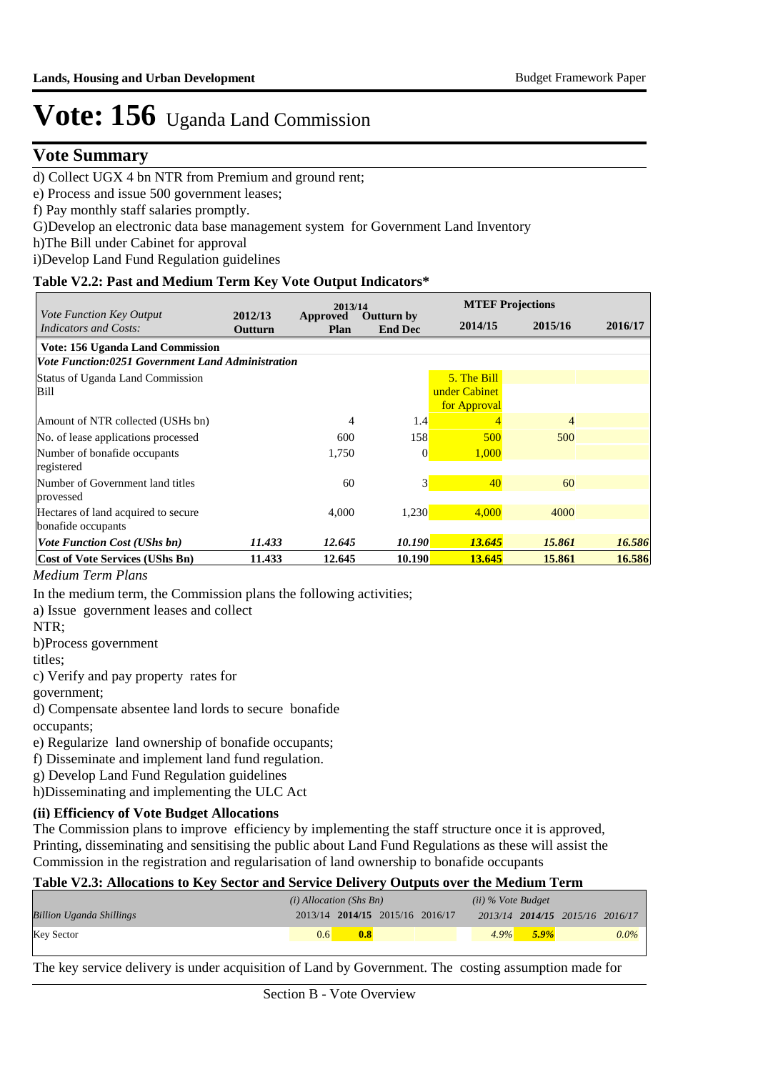### **Vote Summary**

d) Collect UGX 4 bn NTR from Premium and ground rent;

e) Process and issue 500 government leases;

f) Pay monthly staff salaries promptly.

G)Develop an electronic data base management system for Government Land Inventory

h)The Bill under Cabinet for approval

i)Develop Land Fund Regulation guidelines

#### **Table V2.2: Past and Medium Term Key Vote Output Indicators\***

|                                                                 |                           |                  | 2013/14                             |               | <b>MTEF Projections</b> |         |  |  |
|-----------------------------------------------------------------|---------------------------|------------------|-------------------------------------|---------------|-------------------------|---------|--|--|
| <i>Vote Function Key Output</i><br><b>Indicators and Costs:</b> | 2012/13<br><b>Outturn</b> | Approved<br>Plan | <b>Outturn by</b><br><b>End Dec</b> | 2014/15       | 2015/16                 | 2016/17 |  |  |
| Vote: 156 Uganda Land Commission                                |                           |                  |                                     |               |                         |         |  |  |
| <b>Vote Function:0251 Government Land Administration</b>        |                           |                  |                                     |               |                         |         |  |  |
| Status of Uganda Land Commission                                |                           |                  |                                     | 5. The Bill   |                         |         |  |  |
| Bill                                                            |                           |                  |                                     | under Cabinet |                         |         |  |  |
|                                                                 |                           |                  |                                     | for Approval  |                         |         |  |  |
| Amount of NTR collected (USHs bn)                               |                           | 4                | 1.4                                 |               | $\overline{4}$          |         |  |  |
| No. of lease applications processed                             |                           | 600              | 158                                 | 500           | 500                     |         |  |  |
| Number of bonafide occupants                                    |                           | 1,750            | $\vert$ 0                           | 1,000         |                         |         |  |  |
| registered                                                      |                           |                  |                                     |               |                         |         |  |  |
| Number of Government land titles                                |                           | 60               | 3 <sup>1</sup>                      | 40            | 60                      |         |  |  |
| provessed                                                       |                           |                  |                                     |               |                         |         |  |  |
| Hectares of land acquired to secure                             |                           | 4,000            | 1,230                               | 4,000         | 4000                    |         |  |  |
| bonafide occupants                                              |                           |                  |                                     |               |                         |         |  |  |
| <b>Vote Function Cost (UShs bn)</b>                             | 11.433                    | 12.645           | 10.190                              | 13.645        | 15.861                  | 16.586  |  |  |
| <b>Cost of Vote Services (UShs Bn)</b>                          | 11.433                    | 12.645           | 10.190                              | 13.645        | 15.861                  | 16.586  |  |  |

#### *Medium Term Plans*

In the medium term, the Commission plans the following activities;

a) Issue government leases and collect

NTR;

b)Process government

titles;

c) Verify and pay property rates for

government;

d) Compensate absentee land lords to secure bonafide

occupants;

e) Regularize land ownership of bonafide occupants;

f) Disseminate and implement land fund regulation.

g) Develop Land Fund Regulation guidelines

h)Disseminating and implementing the ULC Act

#### **(ii) Efficiency of Vote Budget Allocations**

The Commission plans to improve efficiency by implementing the staff structure once it is approved, Printing, disseminating and sensitising the public about Land Fund Regulations as these will assist the Commission in the registration and regularisation of land ownership to bonafide occupants

#### **Table V2.3: Allocations to Key Sector and Service Delivery Outputs over the Medium Term**

| $(ii)$ % Vote Budget |         |                                            |  |
|----------------------|---------|--------------------------------------------|--|
|                      |         |                                            |  |
|                      |         | $0.0\%$                                    |  |
|                      | $4.9\%$ | 2013/14 2014/15 2015/16 2016/17<br>$5.9\%$ |  |

The key service delivery is under acquisition of Land by Government. The costing assumption made for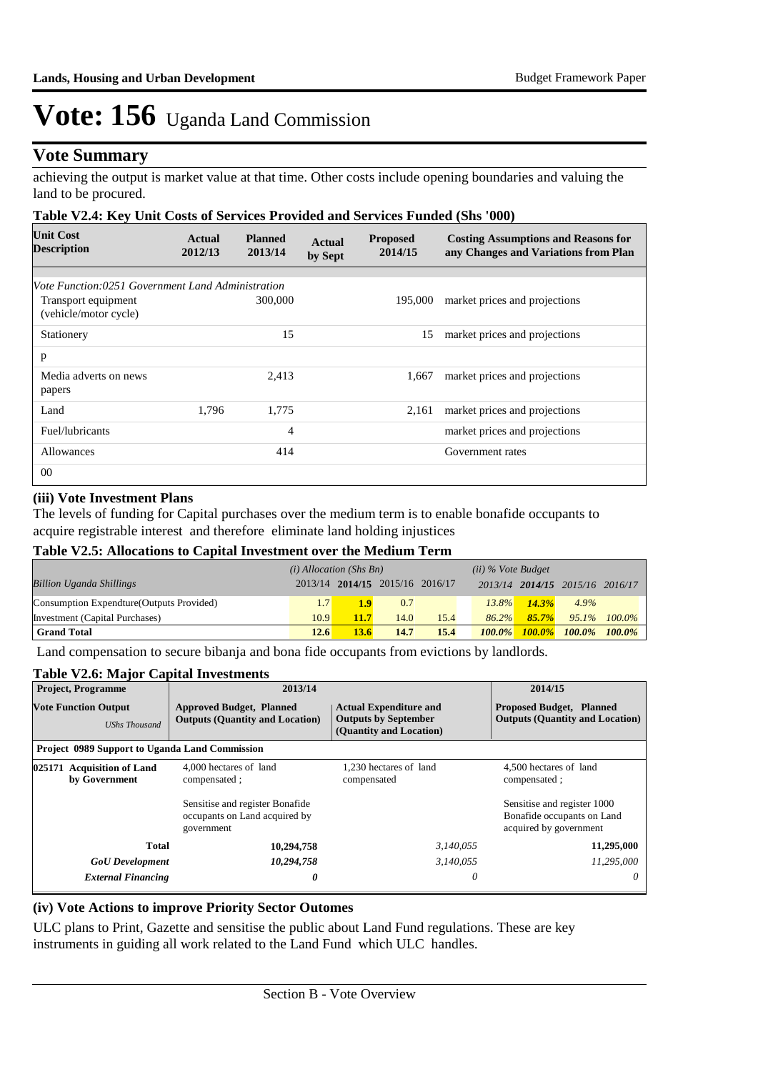### **Vote Summary**

achieving the output is market value at that time. Other costs include opening boundaries and valuing the land to be procured.

#### **Table V2.4: Key Unit Costs of Services Provided and Services Funded (Shs '000)**

| <b>Unit Cost</b><br><b>Description</b>            | Actual<br>2012/13 | <b>Planned</b><br>2013/14 | <b>Actual</b><br>by Sept | <b>Proposed</b><br>2014/15 | <b>Costing Assumptions and Reasons for</b><br>any Changes and Variations from Plan |
|---------------------------------------------------|-------------------|---------------------------|--------------------------|----------------------------|------------------------------------------------------------------------------------|
|                                                   |                   |                           |                          |                            |                                                                                    |
| Vote Function:0251 Government Land Administration |                   |                           |                          |                            |                                                                                    |
| Transport equipment<br>(vehicle/motor cycle)      |                   | 300,000                   |                          | 195,000                    | market prices and projections                                                      |
| Stationery                                        |                   | 15                        |                          | 15                         | market prices and projections                                                      |
| p                                                 |                   |                           |                          |                            |                                                                                    |
| Media adverts on news<br>papers                   |                   | 2,413                     |                          | 1,667                      | market prices and projections                                                      |
| Land                                              | 1.796             | 1,775                     |                          | 2,161                      | market prices and projections                                                      |
| Fuel/lubricants                                   |                   | $\overline{4}$            |                          |                            | market prices and projections                                                      |
| Allowances                                        |                   | 414                       |                          |                            | Government rates                                                                   |
| 0 <sup>0</sup>                                    |                   |                           |                          |                            |                                                                                    |

#### **(iii) Vote Investment Plans**

The levels of funding for Capital purchases over the medium term is to enable bonafide occupants to acquire registrable interest and therefore eliminate land holding injustices

#### **Table V2.5: Allocations to Capital Investment over the Medium Term**

|                                           | $(i)$ Allocation (Shs Bn) |                  |                                 | $(ii)$ % Vote Budget |           |          |                                 |              |
|-------------------------------------------|---------------------------|------------------|---------------------------------|----------------------|-----------|----------|---------------------------------|--------------|
| <b>Billion Uganda Shillings</b>           |                           |                  | 2013/14 2014/15 2015/16 2016/17 |                      |           |          | 2013/14 2014/15 2015/16 2016/17 |              |
| Consumption Expendture (Outputs Provided) | 1.7                       | 1.9 <sub>l</sub> | 0.7                             |                      | $13.8\%$  | $14.3\%$ | 4.9%                            |              |
| Investment (Capital Purchases)            | 10.9                      | 11.7             | 14.0                            | 15.4                 | $86.2\%$  | $85.7\%$ |                                 | 95.1% 100.0% |
| <b>Grand Total</b>                        | 12.6                      | 13.6             | 14.7                            | 15.4                 | $100.0\%$ |          | $100.0\%$ 100.0% 100.0%         |              |

Land compensation to secure bibanja and bona fide occupants from evictions by landlords.

#### **Table V2.6: Major Capital Investments**

| <b>Project, Programme</b>                             | 2013/14                                                                        | 2014/15                                                                                 |                                                                                     |  |
|-------------------------------------------------------|--------------------------------------------------------------------------------|-----------------------------------------------------------------------------------------|-------------------------------------------------------------------------------------|--|
| <b>Vote Function Output</b><br><b>UShs Thousand</b>   | <b>Approved Budget, Planned</b><br><b>Outputs (Quantity and Location)</b>      | <b>Actual Expenditure and</b><br><b>Outputs by September</b><br>(Quantity and Location) | <b>Proposed Budget, Planned</b><br><b>Outputs (Quantity and Location)</b>           |  |
| <b>Project 0989 Support to Uganda Land Commission</b> |                                                                                |                                                                                         |                                                                                     |  |
| 025171 Acquisition of Land<br>by Government           | 4,000 hectares of land<br>compensated;                                         | 1.230 hectares of land<br>compensated                                                   | 4,500 hectares of land<br>compensated;                                              |  |
|                                                       | Sensitise and register Bonafide<br>occupants on Land acquired by<br>government |                                                                                         | Sensitise and register 1000<br>Bonafide occupants on Land<br>acquired by government |  |
| Total                                                 | 10,294,758                                                                     | 3,140,055                                                                               | 11,295,000                                                                          |  |
| <b>GoU</b> Development                                | 10,294,758                                                                     | 3.140.055                                                                               | 11.295.000                                                                          |  |
| <b>External Financing</b>                             | 0                                                                              | 0                                                                                       | $\theta$                                                                            |  |

#### **(iv) Vote Actions to improve Priority Sector Outomes**

ULC plans to Print, Gazette and sensitise the public about Land Fund regulations. These are key instruments in guiding all work related to the Land Fund which ULC handles.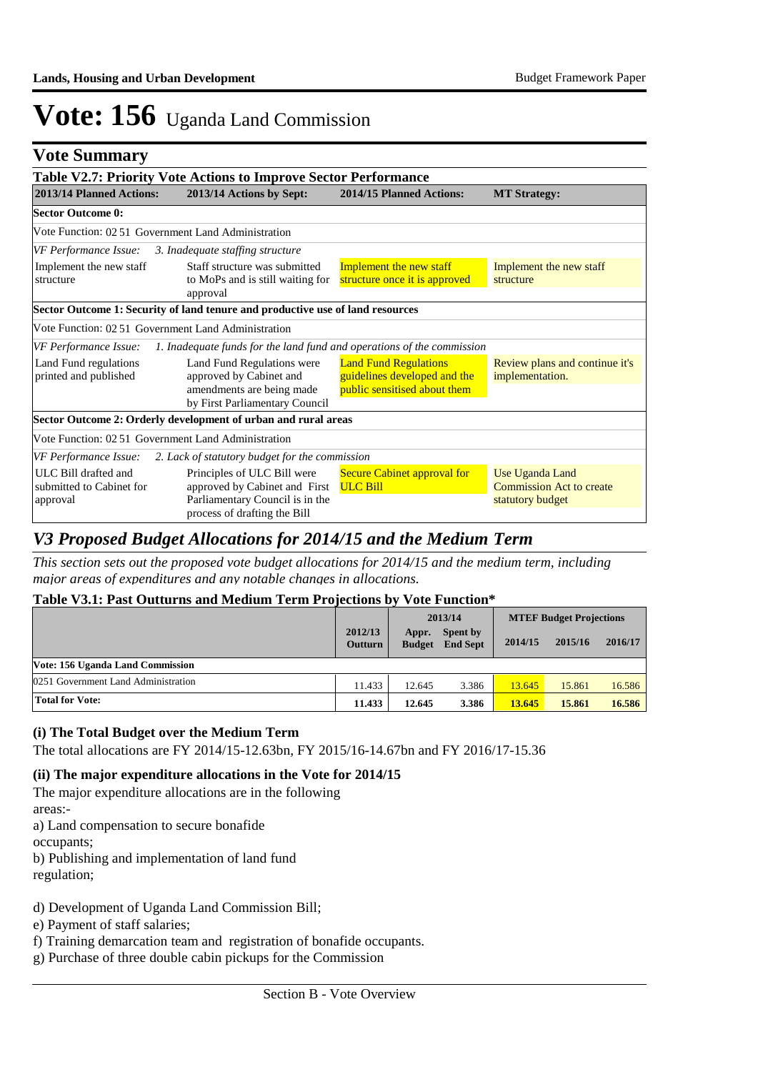## **Vote Summary**

|                                                                                                                       | Table V2.7: Priority Vote Actions to Improve Sector Performance                                                                 |                                                                                              |                                                                        |
|-----------------------------------------------------------------------------------------------------------------------|---------------------------------------------------------------------------------------------------------------------------------|----------------------------------------------------------------------------------------------|------------------------------------------------------------------------|
| 2013/14 Planned Actions:                                                                                              | 2013/14 Actions by Sept:                                                                                                        | 2014/15 Planned Actions:                                                                     | <b>MT Strategy:</b>                                                    |
| <b>Sector Outcome 0:</b>                                                                                              |                                                                                                                                 |                                                                                              |                                                                        |
|                                                                                                                       | Vote Function: 02.51 Government Land Administration                                                                             |                                                                                              |                                                                        |
| VF Performance Issue:                                                                                                 | 3. Inadequate staffing structure                                                                                                |                                                                                              |                                                                        |
| Implement the new staff<br>Staff structure was submitted<br>to MoPs and is still waiting for<br>structure<br>approval |                                                                                                                                 | Implement the new staff<br>structure once it is approved                                     | Implement the new staff<br>structure                                   |
|                                                                                                                       | Sector Outcome 1: Security of land tenure and productive use of land resources                                                  |                                                                                              |                                                                        |
|                                                                                                                       | Vote Function: 02.51 Government Land Administration                                                                             |                                                                                              |                                                                        |
| VF Performance Issue:                                                                                                 | 1. Inadequate funds for the land fund and operations of the commission                                                          |                                                                                              |                                                                        |
| Land Fund regulations<br>printed and published                                                                        | Land Fund Regulations were<br>approved by Cabinet and<br>amendments are being made<br>by First Parliamentary Council            | <b>Land Fund Regulations</b><br>guidelines developed and the<br>public sensitised about them | Review plans and continue it's<br>implementation.                      |
|                                                                                                                       | Sector Outcome 2: Orderly development of urban and rural areas                                                                  |                                                                                              |                                                                        |
|                                                                                                                       | Vote Function: 02 51 Government Land Administration                                                                             |                                                                                              |                                                                        |
| VF Performance Issue:                                                                                                 | 2. Lack of statutory budget for the commission                                                                                  |                                                                                              |                                                                        |
| ULC Bill drafted and<br>submitted to Cabinet for<br>approval                                                          | Principles of ULC Bill were<br>approved by Cabinet and First<br>Parliamentary Council is in the<br>process of drafting the Bill | <b>Secure Cabinet approval for</b><br><b>ULC Bill</b>                                        | Use Uganda Land<br><b>Commission Act to create</b><br>statutory budget |

### *V3 Proposed Budget Allocations for 2014/15 and the Medium Term*

*This section sets out the proposed vote budget allocations for 2014/15 and the medium term, including major areas of expenditures and any notable changes in allocations.* 

#### **Table V3.1: Past Outturns and Medium Term Projections by Vote Function\***

|                                     |                           | 2013/14                |                             | <b>MTEF Budget Projections</b> |         |         |
|-------------------------------------|---------------------------|------------------------|-----------------------------|--------------------------------|---------|---------|
|                                     | 2012/13<br><b>Outturn</b> | Appr.<br><b>Budget</b> | Spent by<br><b>End Sept</b> | 2014/15                        | 2015/16 | 2016/17 |
| Vote: 156 Uganda Land Commission    |                           |                        |                             |                                |         |         |
| 0251 Government Land Administration | 11.433                    | 12.645                 | 3.386                       | 13.645                         | 15.861  | 16.586  |
| <b>Total for Vote:</b>              | 11.433                    | 12.645                 | 3.386                       | 13.645                         | 15.861  | 16.586  |

#### **(i) The Total Budget over the Medium Term**

The total allocations are FY 2014/15-12.63bn, FY 2015/16-14.67bn and FY 2016/17-15.36

### **(ii) The major expenditure allocations in the Vote for 2014/15**

The major expenditure allocations are in the following areas:-

a) Land compensation to secure bonafide

occupants;

b) Publishing and implementation of land fund

regulation;

d) Development of Uganda Land Commission Bill;

e) Payment of staff salaries;

f) Training demarcation team and registration of bonafide occupants.

g) Purchase of three double cabin pickups for the Commission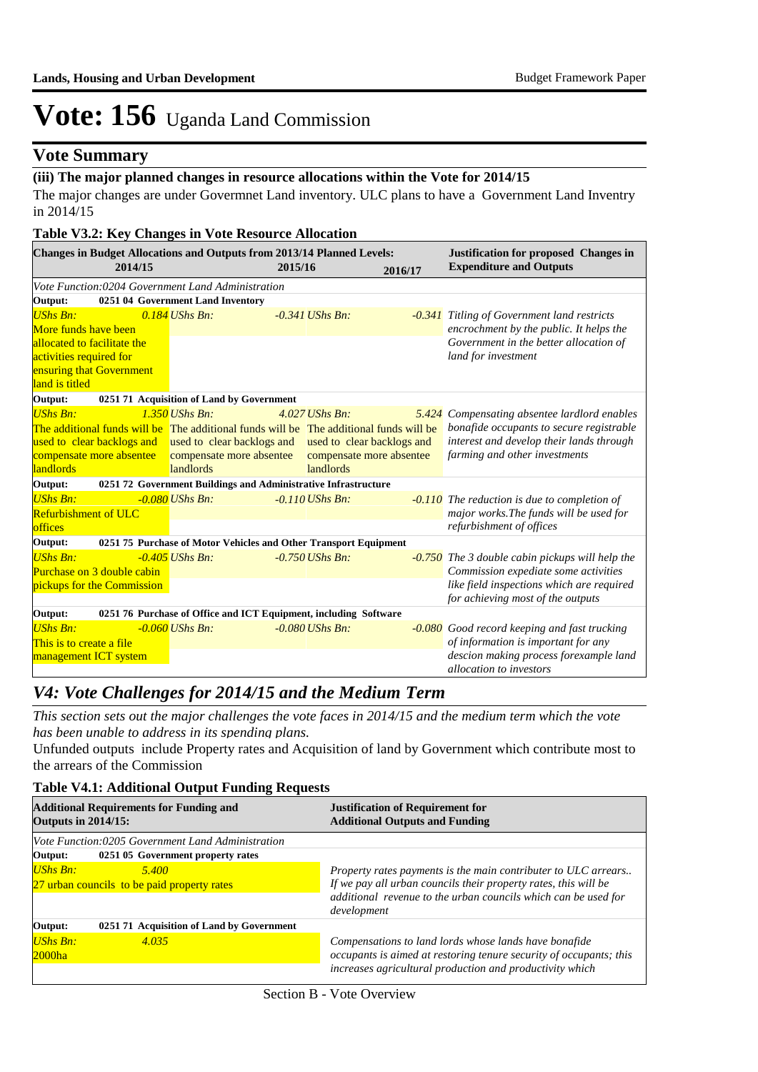### **Vote Summary**

### **(iii) The major planned changes in resource allocations within the Vote for 2014/15**

The major changes are under Govermnet Land inventory. ULC plans to have a Government Land Inventry in 2014/15

#### **Table V3.2: Key Changes in Vote Resource Allocation**

|                                                     | 2014/15                    | <b>Changes in Budget Allocations and Outputs from 2013/14 Planned Levels:</b>          | 2015/16                    | 2016/17 | <b>Justification for proposed Changes in</b><br><b>Expenditure and Outputs</b>    |
|-----------------------------------------------------|----------------------------|----------------------------------------------------------------------------------------|----------------------------|---------|-----------------------------------------------------------------------------------|
|                                                     |                            | Vote Function:0204 Government Land Administration                                      |                            |         |                                                                                   |
| Output:                                             |                            | 0251 04 Government Land Inventory                                                      |                            |         |                                                                                   |
| <b>UShs Bn:</b>                                     |                            | $0.184$ UShs Bn:                                                                       | $-0.341$ UShs Bn:          |         | -0.341 Titling of Government land restricts                                       |
| More funds have been<br>allocated to facilitate the |                            |                                                                                        |                            |         | encrochment by the public. It helps the<br>Government in the better allocation of |
| activities required for                             |                            |                                                                                        |                            |         | land for investment                                                               |
|                                                     | ensuring that Government   |                                                                                        |                            |         |                                                                                   |
| land is titled                                      |                            |                                                                                        |                            |         |                                                                                   |
| Output:                                             |                            | 0251 71 Acquisition of Land by Government                                              |                            |         |                                                                                   |
| <b>UShs Bn:</b>                                     |                            | $1.350$ UShs Bn:                                                                       | $4.027$ UShs Bn:           |         | 5.424 Compensating absentee lardlord enables                                      |
|                                                     |                            | The additional funds will be The additional funds will be The additional funds will be |                            |         | bonafide occupants to secure registrable                                          |
|                                                     | used to clear backlogs and | used to clear backlogs and                                                             | used to clear backlogs and |         | interest and develop their lands through                                          |
|                                                     | compensate more absentee   | compensate more absentee                                                               | compensate more absentee   |         | farming and other investments                                                     |
| landlords                                           |                            | landlords                                                                              | <b>landlords</b>           |         |                                                                                   |
| Output:                                             |                            | 0251 72 Government Buildings and Administrative Infrastructure                         |                            |         |                                                                                   |
| <b>UShs Bn:</b>                                     |                            | $-0.080$ UShs Bn:                                                                      | $-0.110$ UShs Bn:          |         | <b>-0.110</b> The reduction is due to completion of                               |
| <b>Refurbishment of ULC</b><br>offices              |                            |                                                                                        |                            |         | major works. The funds will be used for<br>refurbishment of offices               |
|                                                     |                            | 0251 75 Purchase of Motor Vehicles and Other Transport Equipment                       |                            |         |                                                                                   |
| Output:<br><b>UShs Bn:</b>                          |                            | $-0.405$ UShs Bn:                                                                      | $-0.750$ UShs Bn:          |         | -0.750 The 3 double cabin pickups will help the                                   |
|                                                     | Purchase on 3 double cabin |                                                                                        |                            |         | Commission expediate some activities                                              |
|                                                     | pickups for the Commission |                                                                                        |                            |         | like field inspections which are required                                         |
|                                                     |                            |                                                                                        |                            |         | for achieving most of the outputs                                                 |
| Output:                                             |                            | 0251 76 Purchase of Office and ICT Equipment, including Software                       |                            |         |                                                                                   |
| <b>UShs Bn:</b>                                     |                            | $-0.060$ UShs Bn:                                                                      | $-0.080$ UShs Bn:          |         | -0.080 Good record keeping and fast trucking                                      |
| This is to create a file                            |                            |                                                                                        |                            |         | of information is important for any                                               |
| management ICT system                               |                            |                                                                                        |                            |         | descion making process forexample land<br>allocation to investors                 |

### *V4: Vote Challenges for 2014/15 and the Medium Term*

*This section sets out the major challenges the vote faces in 2014/15 and the medium term which the vote has been unable to address in its spending plans.*

Unfunded outputs include Property rates and Acquisition of land by Government which contribute most to the arrears of the Commission

#### **Table V4.1: Additional Output Funding Requests**

| <b>Additional Requirements for Funding and</b><br><b>Outputs in 2014/15:</b> |                                                   | <b>Justification of Requirement for</b><br><b>Additional Outputs and Funding</b> |  |  |  |  |
|------------------------------------------------------------------------------|---------------------------------------------------|----------------------------------------------------------------------------------|--|--|--|--|
|                                                                              | Vote Function:0205 Government Land Administration |                                                                                  |  |  |  |  |
| Output:                                                                      | 0251 05 Government property rates                 |                                                                                  |  |  |  |  |
| $UShs Bn:$                                                                   | 5.400                                             | Property rates payments is the main contributer to ULC arrears                   |  |  |  |  |
| 27 urban councils to be paid property rates                                  |                                                   | If we pay all urban councils their property rates, this will be                  |  |  |  |  |
|                                                                              |                                                   | additional revenue to the urban councils which can be used for                   |  |  |  |  |
|                                                                              |                                                   | development                                                                      |  |  |  |  |
| Output:                                                                      | 0251 71 Acquisition of Land by Government         |                                                                                  |  |  |  |  |
| UShs Bn:                                                                     | 4.035                                             | Compensations to land lords whose lands have bonafide                            |  |  |  |  |
| $2000$ ha                                                                    |                                                   | occupants is aimed at restoring tenure security of occupants; this               |  |  |  |  |
|                                                                              |                                                   | increases agricultural production and productivity which                         |  |  |  |  |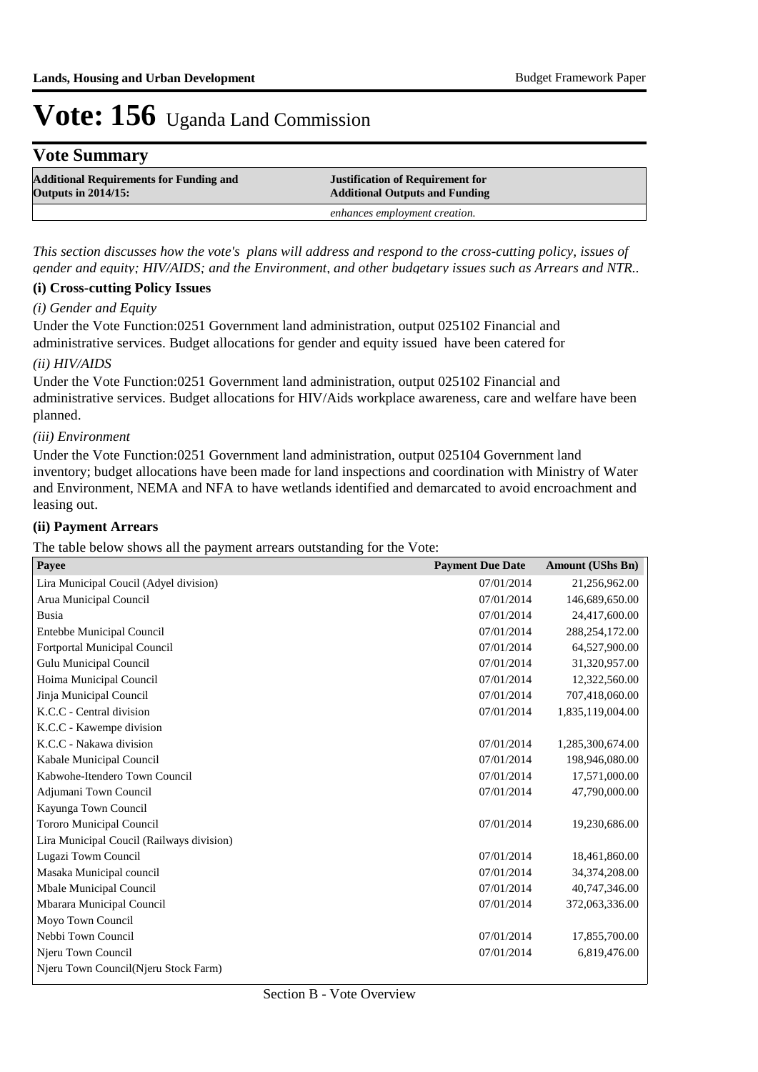## **Vote Summary**

| <b>Additional Requirements for Funding and</b> | <b>Justification of Requirement for</b> |
|------------------------------------------------|-----------------------------------------|
| <b>Outputs in 2014/15:</b>                     | <b>Additional Outputs and Funding</b>   |
|                                                | enhances employment creation.           |

*This section discusses how the vote's plans will address and respond to the cross-cutting policy, issues of gender and equity; HIV/AIDS; and the Environment, and other budgetary issues such as Arrears and NTR..* 

#### **(i) Cross-cutting Policy Issues**

#### *(i) Gender and Equity*

Under the Vote Function:0251 Government land administration, output 025102 Financial and administrative services. Budget allocations for gender and equity issued have been catered for

#### *(ii) HIV/AIDS*

Under the Vote Function:0251 Government land administration, output 025102 Financial and administrative services. Budget allocations for HIV/Aids workplace awareness, care and welfare have been planned.

#### *(iii) Environment*

Under the Vote Function:0251 Government land administration, output 025104 Government land inventory; budget allocations have been made for land inspections and coordination with Ministry of Water and Environment, NEMA and NFA to have wetlands identified and demarcated to avoid encroachment and leasing out.

#### **(ii) Payment Arrears**

The table below shows all the payment arrears outstanding for the Vote:

| Payee                                     | <b>Payment Due Date</b> | <b>Amount (UShs Bn)</b> |
|-------------------------------------------|-------------------------|-------------------------|
| Lira Municipal Coucil (Adyel division)    | 07/01/2014              | 21,256,962.00           |
| Arua Municipal Council                    | 07/01/2014              | 146,689,650.00          |
| Busia                                     | 07/01/2014              | 24,417,600.00           |
| Entebbe Municipal Council                 | 07/01/2014              | 288,254,172.00          |
| Fortportal Municipal Council              | 07/01/2014              | 64,527,900.00           |
| Gulu Municipal Council                    | 07/01/2014              | 31,320,957.00           |
| Hoima Municipal Council                   | 07/01/2014              | 12,322,560.00           |
| Jinja Municipal Council                   | 07/01/2014              | 707,418,060.00          |
| K.C.C - Central division                  | 07/01/2014              | 1,835,119,004.00        |
| K.C.C - Kawempe division                  |                         |                         |
| K.C.C - Nakawa division                   | 07/01/2014              | 1,285,300,674.00        |
| Kabale Municipal Council                  | 07/01/2014              | 198,946,080.00          |
| Kabwohe-Itendero Town Council             | 07/01/2014              | 17,571,000.00           |
| Adjumani Town Council                     | 07/01/2014              | 47,790,000.00           |
| Kayunga Town Council                      |                         |                         |
| Tororo Municipal Council                  | 07/01/2014              | 19,230,686.00           |
| Lira Municipal Coucil (Railways division) |                         |                         |
| Lugazi Towm Council                       | 07/01/2014              | 18,461,860.00           |
| Masaka Municipal council                  | 07/01/2014              | 34,374,208.00           |
| Mbale Municipal Council                   | 07/01/2014              | 40,747,346.00           |
| Mbarara Municipal Council                 | 07/01/2014              | 372,063,336.00          |
| Moyo Town Council                         |                         |                         |
| Nebbi Town Council                        | 07/01/2014              | 17,855,700.00           |
| Njeru Town Council                        | 07/01/2014              | 6,819,476.00            |
| Njeru Town Council(Njeru Stock Farm)      |                         |                         |